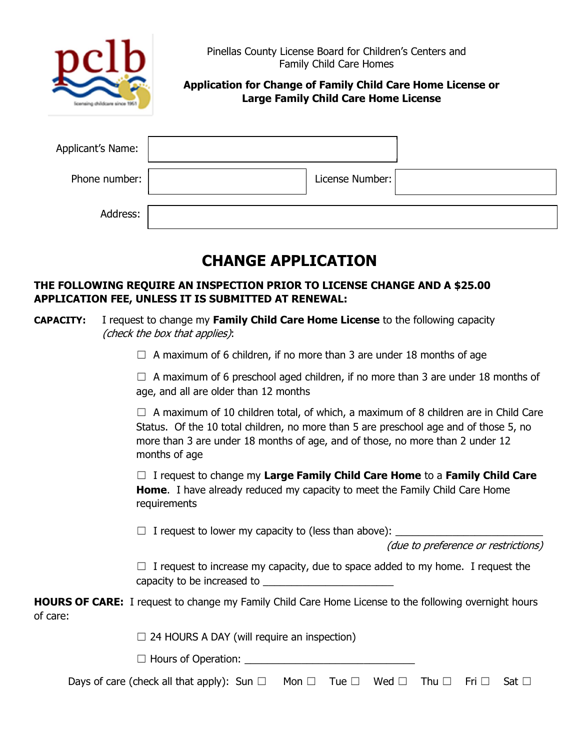

Application for Change of Family Child Care Home License or Large Family Child Care Home License

| Applicant's Name: |                 |  |
|-------------------|-----------------|--|
| Phone number:     | License Number: |  |
| Address:          |                 |  |

## CHANGE APPLICATION

## THE FOLLOWING REQUIRE AN INSPECTION PRIOR TO LICENSE CHANGE AND A \$25.00 APPLICATION FEE, UNLESS IT IS SUBMITTED AT RENEWAL:

## CAPACITY: I request to change my Family Child Care Home License to the following capacity (check the box that applies):

 $\Box$  A maximum of 6 children, if no more than 3 are under 18 months of age

 $\Box$  A maximum of 6 preschool aged children, if no more than 3 are under 18 months of age, and all are older than 12 months

 $\Box$  A maximum of 10 children total, of which, a maximum of 8 children are in Child Care Status. Of the 10 total children, no more than 5 are preschool age and of those 5, no more than 3 are under 18 months of age, and of those, no more than 2 under 12 months of age

 $\Box$  I request to change my Large Family Child Care Home to a Family Child Care Home. I have already reduced my capacity to meet the Family Child Care Home requirements

 $\Box$  I request to lower my capacity to (less than above):  $\Box$ 

(due to preference or restrictions)

 $\Box$  I request to increase my capacity, due to space added to my home. I request the capacity to be increased to \_\_\_\_\_\_\_\_\_\_\_\_\_\_\_\_\_\_\_\_\_\_\_

**HOURS OF CARE:** I request to change my Family Child Care Home License to the following overnight hours of care:

 $\Box$  24 HOURS A DAY (will require an inspection)

 $\Box$  Hours of Operation:

| Days of care (check all that apply): Sun $\square$ Mon $\square$ Tue $\square$ Wed $\square$ Thu $\square$ Fri $\square$ Sat $\square$ |  |  |  |  |  |  |
|----------------------------------------------------------------------------------------------------------------------------------------|--|--|--|--|--|--|
|----------------------------------------------------------------------------------------------------------------------------------------|--|--|--|--|--|--|